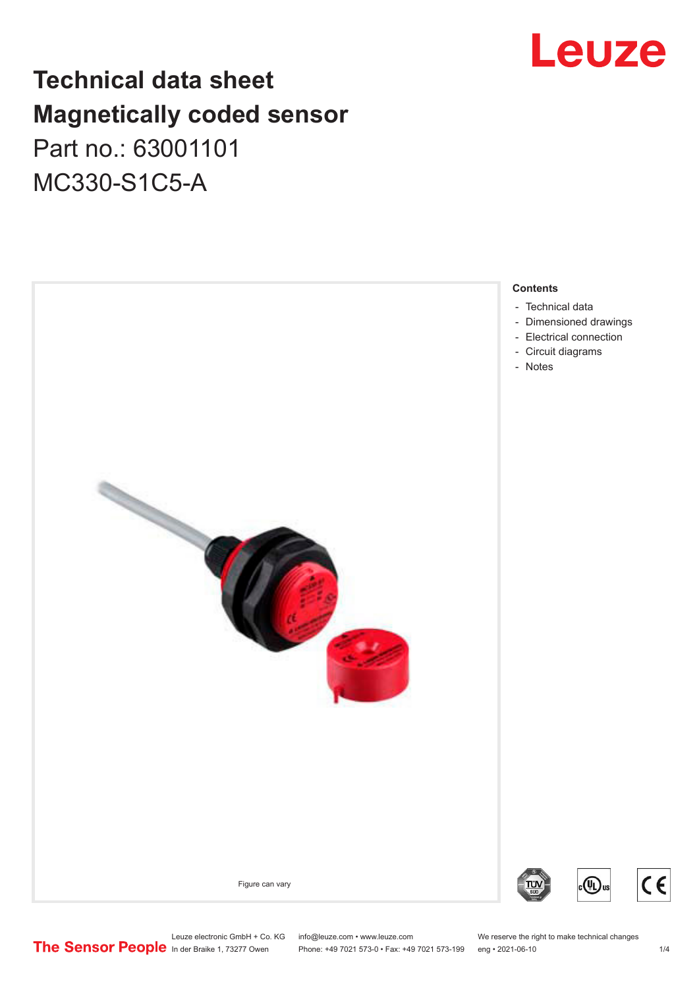## Leuze

## **Technical data sheet Magnetically coded sensor** Part no.: 63001101 MC330-S1C5-A



Leuze electronic GmbH + Co. KG info@leuze.com • www.leuze.com We reserve the right to make technical changes<br>
The Sensor People in der Braike 1, 73277 Owen Phone: +49 7021 573-0 • Fax: +49 7021 573-199 eng • 2021-06-10

Phone: +49 7021 573-0 • Fax: +49 7021 573-199 eng • 2021-06-10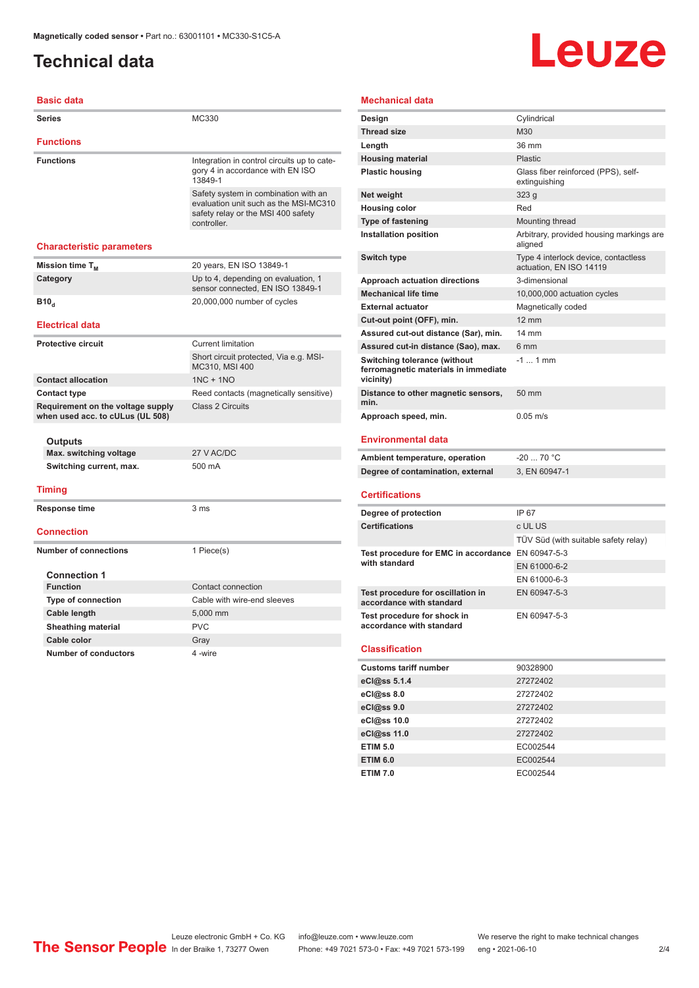## <span id="page-1-0"></span>**Technical data**

# Leuze

### **Basic data**

| <b>Series</b>                                                         | MC330                                                                                                                              |
|-----------------------------------------------------------------------|------------------------------------------------------------------------------------------------------------------------------------|
| <b>Functions</b>                                                      |                                                                                                                                    |
| <b>Functions</b>                                                      | Integration in control circuits up to cate-<br>gory 4 in accordance with EN ISO<br>13849-1                                         |
|                                                                       | Safety system in combination with an<br>evaluation unit such as the MSI-MC310<br>safety relay or the MSI 400 safety<br>controller. |
| <b>Characteristic parameters</b>                                      |                                                                                                                                    |
| Mission time T <sub>M</sub>                                           | 20 years, EN ISO 13849-1                                                                                                           |
| Category                                                              | Up to 4, depending on evaluation, 1<br>sensor connected, EN ISO 13849-1                                                            |
| <b>B10</b> <sub>d</sub>                                               | 20,000,000 number of cycles                                                                                                        |
| <b>Electrical data</b>                                                |                                                                                                                                    |
| <b>Protective circuit</b>                                             | <b>Current limitation</b>                                                                                                          |
|                                                                       | Short circuit protected, Via e.g. MSI-<br>MC310, MSI 400                                                                           |
| <b>Contact allocation</b>                                             | $1NC + 1NO$                                                                                                                        |
| <b>Contact type</b>                                                   | Reed contacts (magnetically sensitive)                                                                                             |
| Requirement on the voltage supply<br>when used acc. to cULus (UL 508) | Class 2 Circuits                                                                                                                   |
| Outputs                                                               |                                                                                                                                    |
| Max. switching voltage                                                | 27 V AC/DC                                                                                                                         |
| Switching current, max.                                               | 500 mA                                                                                                                             |
| <b>Timing</b>                                                         |                                                                                                                                    |
| Response time                                                         | 3 ms                                                                                                                               |
| <b>Connection</b>                                                     |                                                                                                                                    |
| <b>Number of connections</b>                                          | 1 Piece(s)                                                                                                                         |
| <b>Connection 1</b>                                                   |                                                                                                                                    |
| <b>Function</b>                                                       | Contact connection                                                                                                                 |
| <b>Type of connection</b>                                             | Cable with wire-end sleeves                                                                                                        |
| Cable length                                                          | 5,000 mm                                                                                                                           |
| <b>Sheathing material</b>                                             | <b>PVC</b>                                                                                                                         |
| Cable color                                                           | Gray                                                                                                                               |
| <b>Number of conductors</b>                                           | 4-wire                                                                                                                             |

### **Mechanical data**

| Design                                                                            | Cylindrical                                                     |
|-----------------------------------------------------------------------------------|-----------------------------------------------------------------|
| <b>Thread size</b>                                                                | M30                                                             |
| Length                                                                            | 36 mm                                                           |
| <b>Housing material</b>                                                           | Plastic                                                         |
| <b>Plastic housing</b>                                                            | Glass fiber reinforced (PPS), self-<br>extinguishing            |
| Net weight                                                                        | 323g                                                            |
| <b>Housing color</b>                                                              | Red                                                             |
| <b>Type of fastening</b>                                                          | Mounting thread                                                 |
| Installation position                                                             | Arbitrary, provided housing markings are<br>aligned             |
| <b>Switch type</b>                                                                | Type 4 interlock device, contactless<br>actuation, EN ISO 14119 |
| Approach actuation directions                                                     | 3-dimensional                                                   |
| <b>Mechanical life time</b>                                                       | 10,000,000 actuation cycles                                     |
| <b>External actuator</b>                                                          | Magnetically coded                                              |
| Cut-out point (OFF), min.                                                         | $12 \text{ mm}$                                                 |
| Assured cut-out distance (Sar), min.                                              | $14 \text{ mm}$                                                 |
| Assured cut-in distance (Sao), max.                                               | 6 <sub>mm</sub>                                                 |
| Switching tolerance (without<br>ferromagnetic materials in immediate<br>vicinity) | $-1$ 1 mm                                                       |
| Distance to other magnetic sensors,<br>min.                                       | 50 mm                                                           |
| Approach speed, min.                                                              | $0.05 \, \text{m/s}$                                            |
| <b>Environmental data</b>                                                         |                                                                 |

| Ambient temperature, operation    | -20  70 °C    |
|-----------------------------------|---------------|
| Degree of contamination, external | 3. EN 60947-1 |

#### **Certifications**

| Degree of protection                                               | IP 67                                |
|--------------------------------------------------------------------|--------------------------------------|
| <b>Certifications</b>                                              | c UL US                              |
|                                                                    | TÜV Süd (with suitable safety relay) |
| Test procedure for EMC in accordance EN 60947-5-3<br>with standard |                                      |
|                                                                    | EN 61000-6-2                         |
|                                                                    | EN 61000-6-3                         |
| Test procedure for oscillation in<br>accordance with standard      | EN 60947-5-3                         |
| Test procedure for shock in<br>accordance with standard            | EN 60947-5-3                         |

#### **Classification**

| <b>Customs tariff number</b> | 90328900 |
|------------------------------|----------|
| eCl@ss 5.1.4                 | 27272402 |
| eCl@ss 8.0                   | 27272402 |
| eCl@ss 9.0                   | 27272402 |
| eCl@ss 10.0                  | 27272402 |
| eCl@ss 11.0                  | 27272402 |
| <b>ETIM 5.0</b>              | EC002544 |
| <b>ETIM 6.0</b>              | EC002544 |
| <b>ETIM 7.0</b>              | EC002544 |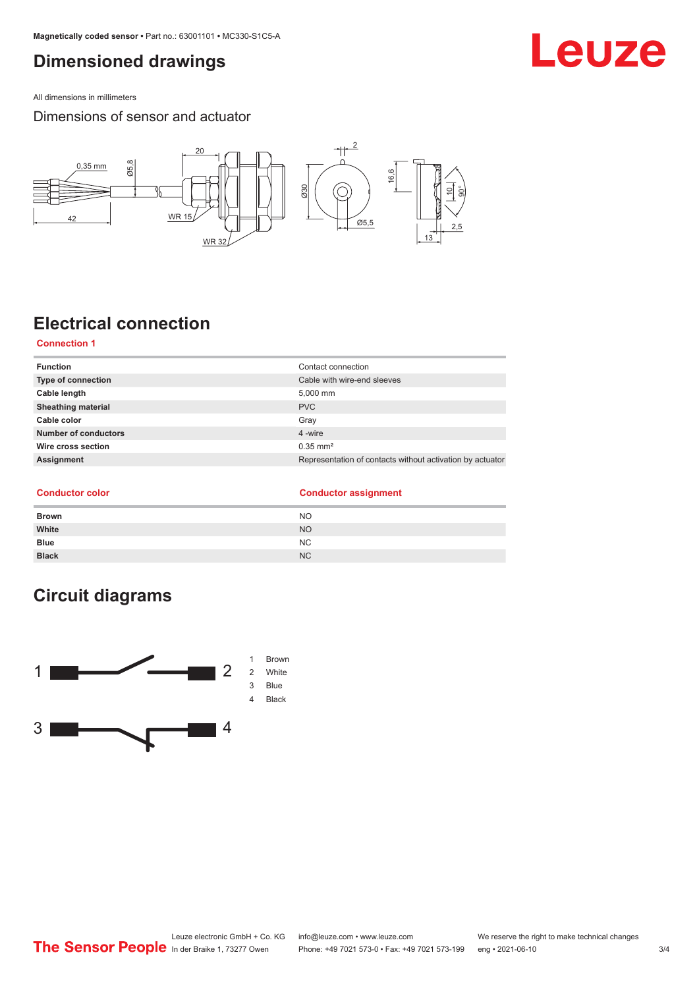## <span id="page-2-0"></span>**Dimensioned drawings**

All dimensions in millimeters

Dimensions of sensor and actuator



## **Electrical connection**

### **Connection 1**

| <b>Function</b>             | Contact connection                                        |
|-----------------------------|-----------------------------------------------------------|
| <b>Type of connection</b>   | Cable with wire-end sleeves                               |
| Cable length                | 5,000 mm                                                  |
| <b>Sheathing material</b>   | <b>PVC</b>                                                |
| Cable color                 | Gray                                                      |
| <b>Number of conductors</b> | 4 -wire                                                   |
| Wire cross section          | $0.35$ mm <sup>2</sup>                                    |
| Assignment                  | Representation of contacts without activation by actuator |

#### **Conductor color**

|  | <b>Conductor assignment</b> |
|--|-----------------------------|
|--|-----------------------------|

| <b>Brown</b> | <b>NO</b> |
|--------------|-----------|
| White        | <b>NO</b> |
| <b>Blue</b>  | NC.       |
| <b>Black</b> | <b>NC</b> |

## **Circuit diagrams**



## Leuze